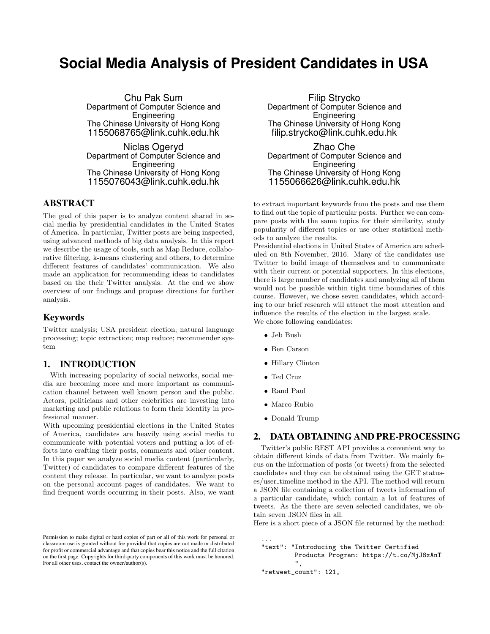# **Social Media Analysis of President Candidates in USA**

Chu Pak Sum Department of Computer Science and Engineering The Chinese University of Hong Kong 1155068765@link.cuhk.edu.hk

Niclas Ogeryd Department of Computer Science and Engineering The Chinese University of Hong Kong 1155076043@link.cuhk.edu.hk

# ABSTRACT

The goal of this paper is to analyze content shared in social media by presidential candidates in the United States of America. In particular, Twitter posts are being inspected, using advanced methods of big data analysis. In this report we describe the usage of tools, such as Map Reduce, collaborative filtering, k-means clustering and others, to determine different features of candidates' communication. We also made an application for recommending ideas to candidates based on the their Twitter analysis. At the end we show overview of our findings and propose directions for further analysis.

### Keywords

Twitter analysis; USA president election; natural language processing; topic extraction; map reduce; recommender system

# 1. INTRODUCTION

With increasing popularity of social networks, social media are becoming more and more important as communication channel between well known person and the public. Actors, politicians and other celebrities are investing into marketing and public relations to form their identity in professional manner.

With upcoming presidential elections in the United States of America, candidates are heavily using social media to communicate with potential voters and putting a lot of efforts into crafting their posts, comments and other content. In this paper we analyze social media content (particularly, Twitter) of candidates to compare different features of the content they release. In particular, we want to analyze posts on the personal account pages of candidates. We want to find frequent words occurring in their posts. Also, we want

Filip Strycko Department of Computer Science and Engineering The Chinese University of Hong Kong filip.strycko@link.cuhk.edu.hk

Zhao Che Department of Computer Science and **Engineering** The Chinese University of Hong Kong 1155066626@link.cuhk.edu.hk

to extract important keywords from the posts and use them to find out the topic of particular posts. Further we can compare posts with the same topics for their similarity, study popularity of different topics or use other statistical methods to analyze the results.

Presidential elections in United States of America are scheduled on 8th November, 2016. Many of the candidates use Twitter to build image of themselves and to communicate with their current or potential supporters. In this elections, there is large number of candidates and analyzing all of them would not be possible within tight time boundaries of this course. However, we chose seven candidates, which according to our brief research will attract the most attention and influence the results of the election in the largest scale. We chose following candidates:

- Jeb Bush
- Ben Carson
- Hillary Clinton
- Ted Cruz
- Rand Paul

...

- Marco Rubio
- Donald Trump

### 2. DATA OBTAINING AND PRE-PROCESSING

Twitter's public REST API provides a convenient way to obtain different kinds of data from Twitter. We mainly focus on the information of posts (or tweets) from the selected candidates and they can be obtained using the GET statuses/user\_timeline method in the API. The method will return a JSON file containing a collection of tweets information of a particular candidate, which contain a lot of features of tweets. As the there are seven selected candidates, we obtain seven JSON files in all.

Here is a short piece of a JSON file returned by the method:

```
"text": "Introducing the Twitter Certified
        Products Program: https://t.co/MjJ8xAnT
        ",
"retweet_count": 121,
```
Permission to make digital or hard copies of part or all of this work for personal or classroom use is granted without fee provided that copies are not made or distributed for profit or commercial advantage and that copies bear this notice and the full citation on the first page. Copyrights for third-party components of this work must be honored. For all other uses, contact the owner/author(s).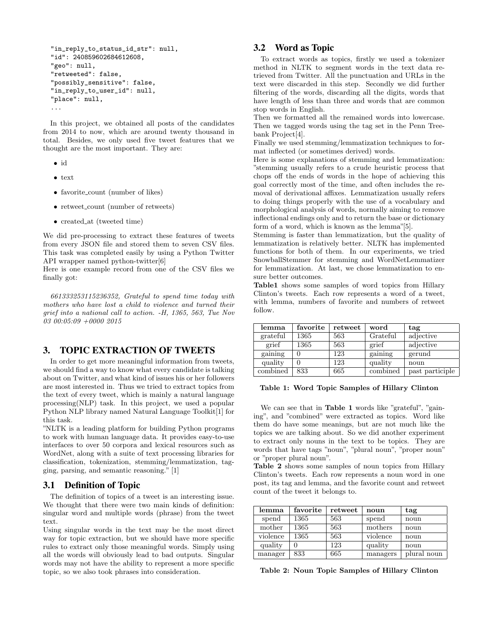```
"in_reply_to_status_id_str": null,
"id": 240859602684612608,
"geo": null,
"retweeted": false,
"possibly_sensitive": false,
"in_reply_to_user_id": null,
"place": null,
...
```
In this project, we obtained all posts of the candidates from 2014 to now, which are around twenty thousand in total. Besides, we only used five tweet features that we thought are the most important. They are:

- id
- text
- favorite\_count (number of likes)
- retweet\_count (number of retweets)
- created\_at (tweeted time)

We did pre-processing to extract these features of tweets from every JSON file and stored them to seven CSV files. This task was completed easily by using a Python Twitter API wrapper named python-twitter[6]

Here is one example record from one of the CSV files we finally got:

661333253115236352, Grateful to spend time today with mothers who have lost a child to violence and turned their grief into a national call to action. -H, 1365, 563, Tue Nov 03 00:05:09 +0000 2015

# 3. TOPIC EXTRACTION OF TWEETS

In order to get more meaningful information from tweets, we should find a way to know what every candidate is talking about on Twitter, and what kind of issues his or her followers are most interested in. Thus we tried to extract topics from the text of every tweet, which is mainly a natural language processing(NLP) task. In this project, we used a popular Python NLP library named Natural Language Toolkit[1] for this task.

"NLTK is a leading platform for building Python programs to work with human language data. It provides easy-to-use interfaces to over 50 corpora and lexical resources such as WordNet, along with a suite of text processing libraries for classification, tokenization, stemming/lemmatization, tagging, parsing, and semantic reasoning." [1]

### 3.1 Definition of Topic

The definition of topics of a tweet is an interesting issue. We thought that there were two main kinds of definition: singular word and multiple words (phrase) from the tweet text.

Using singular words in the text may be the most direct way for topic extraction, but we should have more specific rules to extract only those meaningful words. Simply using all the words will obviously lead to bad outputs. Singular words may not have the ability to represent a more specific topic, so we also took phrases into consideration.

# 3.2 Word as Topic

To extract words as topics, firstly we used a tokenizer method in NLTK to segment words in the text data retrieved from Twitter. All the punctuation and URLs in the text were discarded in this step. Secondly we did further filtering of the words, discarding all the digits, words that have length of less than three and words that are common stop words in English.

Then we formatted all the remained words into lowercase. Then we tagged words using the tag set in the Penn Treebank Project[4].

Finally we used stemming/lemmatization techniques to format inflected (or sometimes derived) words.

Here is some explanations of stemming and lemmatization: "stemming usually refers to a crude heuristic process that chops off the ends of words in the hope of achieving this goal correctly most of the time, and often includes the removal of derivational affixes. Lemmatization usually refers to doing things properly with the use of a vocabulary and morphological analysis of words, normally aiming to remove inflectional endings only and to return the base or dictionary form of a word, which is known as the lemma"[5].

Stemming is faster than lemmatization, but the quality of lemmatization is relatively better. NLTK has implemented functions for both of them. In our experiments, we tried SnowballStemmer for stemming and WordNetLemmatizer for lemmatization. At last, we chose lemmatization to ensure better outcomes.

Table1 shows some samples of word topics from Hillary Clinton's tweets. Each row represents a word of a tweet, with lemma, numbers of favorite and numbers of retweet follow.

| lemma    | favorite | retweet | word     | tag             |
|----------|----------|---------|----------|-----------------|
| grateful | 1365     | 563     | Grateful | adjective       |
| grief    | 1365     | 563     | grief    | adjective       |
| gaining  |          | 123     | gaining  | gerund          |
| quality  |          | 123     | quality  | noun            |
| combined | 833      | 665     | combined | past participle |

Table 1: Word Topic Samples of Hillary Clinton

We can see that in **Table 1** words like "grateful", "gaining", and "combined" were extracted as topics. Word like them do have some meanings, but are not much like the topics we are talking about. So we did another experiment to extract only nouns in the text to be topics. They are words that have tags "noun", "plural noun", "proper noun" or "proper plural noun".

Table 2 shows some samples of noun topics from Hillary Clinton's tweets. Each row represents a noun word in one post, its tag and lemma, and the favorite count and retweet count of the tweet it belongs to.

| lemma    | favorite | retweet | noun     | tag         |
|----------|----------|---------|----------|-------------|
| spend    | 1365     | 563     | spend    | noun        |
| mother   | 1365     | 563     | mothers  | noun        |
| violence | 1365     | 563     | violence | noun        |
| quality  |          | 123     | quality  | noun        |
| manager  | 833      | 665     | managers | plural noun |

Table 2: Noun Topic Samples of Hillary Clinton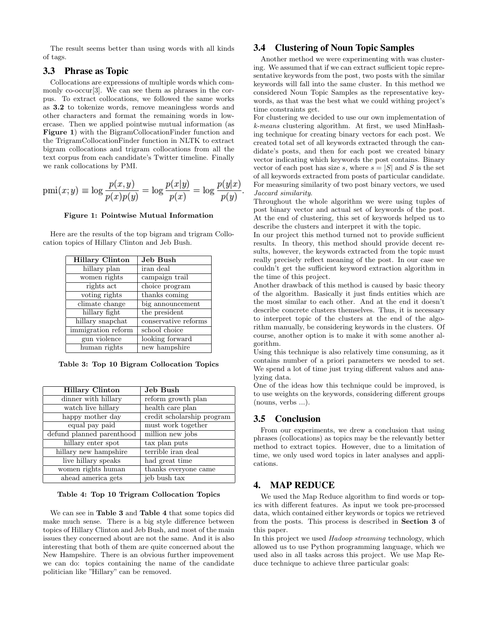The result seems better than using words with all kinds of tags.

# 3.3 Phrase as Topic

Collocations are expressions of multiple words which commonly co-occur[3]. We can see them as phrases in the corpus. To extract collocations, we followed the same works as 3.2 to tokenize words, remove meaningless words and other characters and format the remaining words in lowercase. Then we applied pointwise mutual information (as Figure 1) with the BigramCollocationFinder function and the TrigramCollocationFinder function in NLTK to extract bigram collocations and trigram collocations from all the text corpus from each candidate's Twitter timeline. Finally we rank collocations by PMI.

$$
pmi(x; y) \equiv \log \frac{p(x, y)}{p(x)p(y)} = \log \frac{p(x|y)}{p(x)} = \log \frac{p(y|x)}{p(y)}.
$$

Figure 1: Pointwise Mutual Information

Here are the results of the top bigram and trigram Collocation topics of Hillary Clinton and Jeb Bush.

| <b>Hillary Clinton</b> | Jeb Bush             |
|------------------------|----------------------|
| hillary plan           | iran deal            |
| women rights           | campaign trail       |
| rights act             | choice program       |
| voting rights          | thanks coming        |
| climate change         | big announcement     |
| hillary fight          | the president        |
| hillary snapchat       | conservative reforms |
| immigration reform     | school choice        |
| gun violence           | looking forward      |
| human rights           | new hampshire        |

Table 3: Top 10 Bigram Collocation Topics

| <b>Hillary Clinton</b>    | Jeb Bush                   |
|---------------------------|----------------------------|
| dinner with hillary       | reform growth plan         |
| watch live hillary        | health care plan           |
| happy mother day          | credit scholarship program |
| equal pay paid            | must work together         |
| defund planned parenthood | million new jobs           |
| hillary enter spot        | tax plan puts              |
| hillary new hampshire     | terrible iran deal         |
| live hillary speaks       | had great time             |
| women rights human        | thanks everyone came       |
| ahead america gets        | jeb bush tax               |

#### Table 4: Top 10 Trigram Collocation Topics

We can see in Table 3 and Table 4 that some topics did make much sense. There is a big style difference between topics of Hillary Clinton and Jeb Bush, and most of the main issues they concerned about are not the same. And it is also interesting that both of them are quite concerned about the New Hampshire. There is an obvious further improvement we can do: topics containing the name of the candidate politician like "Hillary" can be removed.

# 3.4 Clustering of Noun Topic Samples

Another method we were experimenting with was clustering. We assumed that if we can extract sufficient topic representative keywords from the post, two posts with the similar keywords will fall into the same cluster. In this method we considered Noun Topic Samples as the representative keywords, as that was the best what we could withing project's time constraints get.

For clustering we decided to use our own implementation of k-means clustering algorithm. At first, we used MinHashing technique for creating binary vectors for each post. We created total set of all keywords extracted through the candidate's posts, and then for each post we created binary vector indicating which keywords the post contains. Binary vector of each post has size s, where  $s = |S|$  and S is the set of all keywords extracted from posts of particular candidate. For measuring similarity of two post binary vectors, we used Jaccard similarity.

Throughout the whole algorithm we were using tuples of post binary vector and actual set of keywords of the post. At the end of clustering, this set of keywords helped us to describe the clusters and interpret it with the topic.

In our project this method turned not to provide sufficient results. In theory, this method should provide decent results, however, the keywords extracted from the topic must really precisely reflect meaning of the post. In our case we couldn't get the sufficient keyword extraction algorithm in the time of this project.

Another drawback of this method is caused by basic theory of the algorithm. Basically it just finds entities which are the most similar to each other. And at the end it doesn't describe concrete clusters themselves. Thus, it is necessary to interpret topic of the clusters at the end of the algorithm manually, be considering keywords in the clusters. Of course, another option is to make it with some another algorithm.

Using this technique is also relatively time consuming, as it contains number of a priori parameters we needed to set. We spend a lot of time just trying different values and analyzing data.

One of the ideas how this technique could be improved, is to use weights on the keywords, considering different groups (nouns, verbs ...).

#### 3.5 Conclusion

From our experiments, we drew a conclusion that using phrases (collocations) as topics may be the relevantly better method to extract topics. However, due to a limitation of time, we only used word topics in later analyses and applications.

#### 4. MAP REDUCE

We used the Map Reduce algorithm to find words or topics with different features. As input we took pre-processed data, which contained either keywords or topics we retrieved from the posts. This process is described in Section 3 of this paper.

In this project we used Hadoop streaming technology, which allowed us to use Python programming language, which we used also in all tasks across this project. We use Map Reduce technique to achieve three particular goals: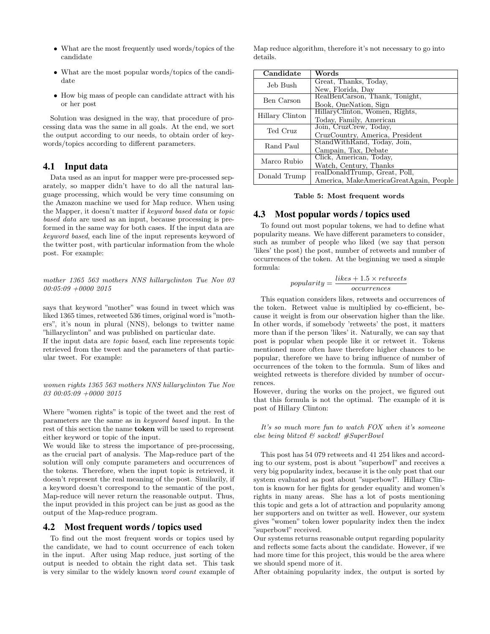- What are the most frequently used words/topics of the candidate
- What are the most popular words/topics of the candidate
- How big mass of people can candidate attract with his or her post

Solution was designed in the way, that procedure of processing data was the same in all goals. At the end, we sort the output according to our needs, to obtain order of keywords/topics according to different parameters.

# 4.1 Input data

Data used as an input for mapper were pre-processed separately, so mapper didn't have to do all the natural language processing, which would be very time consuming on the Amazon machine we used for Map reduce. When using the Mapper, it doesn't matter if keyword based data or topic based data are used as an input, because processing is preformed in the same way for both cases. If the input data are keyword based, each line of the input represents keyword of the twitter post, with particular information from the whole post. For example:

mother 1365 563 mothers NNS hillaryclinton Tue Nov 03 00:05:09 +0000 2015

says that keyword "mother" was found in tweet which was liked 1365 times, retweeted 536 times, original word is "mothers", it's noun in plural (NNS), belongs to twitter name "hillaryclinton" and was published on particular date.

If the input data are topic based, each line represents topic retrieved from the tweet and the parameters of that particular tweet. For example:

women rights 1365 563 mothers NNS hillaryclinton Tue Nov 03 00:05:09 +0000 2015

Where "women rights" is topic of the tweet and the rest of parameters are the same as in keyword based input. In the rest of this section the name token will be used to represent either keyword or topic of the input.

We would like to stress the importance of pre-processing, as the crucial part of analysis. The Map-reduce part of the solution will only compute parameters and occurrences of the tokens. Therefore, when the input topic is retrieved, it doesn't represent the real meaning of the post. Similarily, if a keyword doesn't correspond to the semantic of the post, Map-reduce will never return the reasonable output. Thus, the input provided in this project can be just as good as the output of the Map-reduce program.

### 4.2 Most frequent words / topics used

To find out the most frequent words or topics used by the candidate, we had to count occurrence of each token in the input. After using Map reduce, just sorting of the output is needed to obtain the right data set. This task is very similar to the widely known word count example of Map reduce algorithm, therefore it's not necessary to go into details.

| Candidate       | Words                                  |
|-----------------|----------------------------------------|
| Jeb Bush        | Great, Thanks, Today,                  |
|                 | New, Florida, Day                      |
| Ben Carson      | RealBenCarson, Thank, Tonight,         |
|                 | Book, OneNation, Sign                  |
| Hillary Clinton | HillaryClinton, Women, Rights,         |
|                 | Today, Family, American                |
| Ted Cruz        | Join, CruzCrew, Today,                 |
|                 | CruzCountry, America, President        |
| Rand Paul       | StandWithRand, Today, Join,            |
|                 | Campain, Tax, Debate                   |
| Marco Rubio     | Click, American, Today,                |
|                 | Watch, Century, Thanks                 |
| Donald Trump    | realDonaldTrump, Great, Poll,          |
|                 | America, MakeAmericaGreatAgain, People |

#### Table 5: Most frequent words

#### 4.3 Most popular words / topics used

To found out most popular tokens, we had to define what popularity means. We have different parameters to consider, such as number of people who liked (we say that person 'likes' the post) the post, number of retweets and number of occurrences of the token. At the beginning we used a simple formula:

$$
popularity = \frac{likes + 1.5 \times retweets}{occurrences}
$$

This equation considers likes, retweets and occurrences of the token. Retweet value is multiplied by co-efficient, because it weight is from our observation higher than the like. In other words, if somebody 'retweets' the post, it matters more than if the person 'likes' it. Naturally, we can say that post is popular when people like it or retweet it. Tokens mentioned more often have therefore higher chances to be popular, therefore we have to bring influence of number of occurrences of the token to the formula. Sum of likes and weighted retweets is therefore divided by number of occurrences.

However, during the works on the project, we figured out that this formula is not the optimal. The example of it is post of Hillary Clinton:

It's so much more fun to watch FOX when it's someone else being blitzed & sacked! #SuperBowl

This post has 54 079 retweets and 41 254 likes and according to our system, post is about "superbowl" and receives a very big popularity index, because it is the only post that our system evaluated as post about "superbowl". Hillary Clinton is known for her fights for gender equality and women's rights in many areas. She has a lot of posts mentioning this topic and gets a lot of attraction and popularity among her supporters and on twitter as well. However, our system gives "women" token lower popularity index then the index "superbowl" received.

Our systems returns reasonable output regarding popularity and reflects some facts about the candidate. However, if we had more time for this project, this would be the area where we should spend more of it.

After obtaining popularity index, the output is sorted by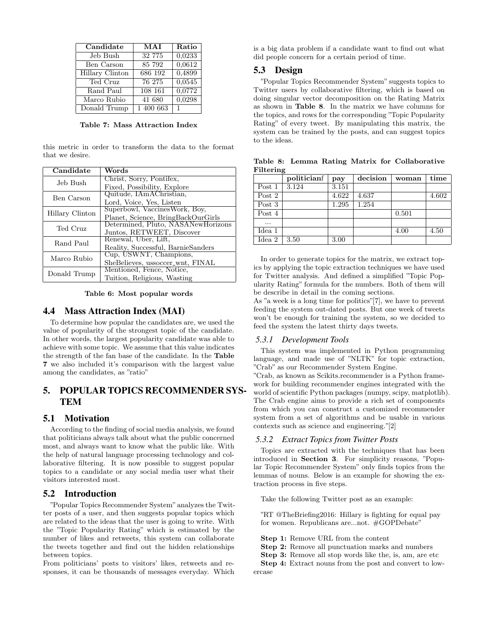| Candidate       | MAI       | Ratio        |
|-----------------|-----------|--------------|
| Jeb Bush        | 32 775    | 0,0233       |
| Ben Carson      | 85 792    | 0,0612       |
| Hillary Clinton | 686 192   | 0,4899       |
| Ted Cruz        | 76 275    | 0,0545       |
| Rand Paul       | 108 161   | 0,0772       |
| Marco Rubio     | 41 680    | 0,0298       |
| Donald Trump    | 1 400 663 | $\mathbf{1}$ |

Table 7: Mass Attraction Index

this metric in order to transform the data to the format that we desire.

| Candidate       | Words                              |
|-----------------|------------------------------------|
| Jeb Bush        | Christ, Sorry, Pontifex,           |
|                 | Fixed, Possibility, Explore        |
| Ben Carson      | Quitude, IAmAChristian,            |
|                 | Lord, Voice, Yes, Listen           |
| Hillary Clinton | Superbowl, VaccinesWork, Boy,      |
|                 | Planet, Science, BringBackOurGirls |
| Ted Cruz        | Determined, Pluto, NASANewHorizons |
|                 | Juntos, RETWEET, Discover          |
| Rand Paul       | Renewal, Uber, Lift,               |
|                 | Reality, Successful, BarnieSanders |
| Marco Rubio     | Cup, USWNT, Champions,             |
|                 | SheBelieves, ussoccer_wnt, FINAL   |
| Donald Trump    | Mentioned, Fence, Notice,          |
|                 | Tuition, Religious, Wasting        |

Table 6: Most popular words

#### 4.4 Mass Attraction Index (MAI)

To determine how popular the candidates are, we used the value of popularity of the strongest topic of the candidate. In other words, the largest popularity candidate was able to achieve with some topic. We assume that this value indicates the strength of the fan base of the candidate. In the Table 7 we also included it's comparison with the largest value among the candidates, as "ratio"

# 5. POPULAR TOPICS RECOMMENDER SYS-**TEM**

### 5.1 Motivation

According to the finding of social media analysis, we found that politicians always talk about what the public concerned most, and always want to know what the public like. With the help of natural language processing technology and collaborative filtering. It is now possible to suggest popular topics to a candidate or any social media user what their visitors interested most.

### 5.2 Introduction

"Popular Topics Recommender System"analyzes the Twitter posts of a user, and then suggests popular topics which are related to the ideas that the user is going to write. With the "Topic Popularity Rating" which is estimated by the number of likes and retweets, this system can collaborate the tweets together and find out the hidden relationships between topics.

From politicians' posts to visitors' likes, retweets and responses, it can be thousands of messages everyday. Which is a big data problem if a candidate want to find out what did people concern for a certain period of time.

# 5.3 Design

"Popular Topics Recommender System" suggests topics to Twitter users by collaborative filtering, which is based on doing singular vector decomposition on the Rating Matrix as shown in Table 8. In the matrix we have columns for the topics, and rows for the corresponding "Topic Popularity Rating" of every tweet. By manipulating this matrix, the system can be trained by the posts, and can suggest topics to the ideas.

|        | politicianf | pay   | decision | woman | time  |
|--------|-------------|-------|----------|-------|-------|
| Post 1 | 3.124       | 3.151 |          |       |       |
| Post 2 |             | 4.622 | 4.637    |       | 4.602 |
| Post 3 |             | 1.295 | 1.254    |       |       |
| Post 4 |             |       |          | 0.501 |       |
| .      |             |       |          |       |       |
| Idea 1 |             |       |          | 4.00  | 4.50  |
| Idea 2 | 3.50        | 3.00  |          |       |       |

Table 8: Lemma Rating Matrix for Collaborative Filtering

In order to generate topics for the matrix, we extract topics by applying the topic extraction techniques we have used for Twitter analysis. And defined a simplified "Topic Popularity Rating" formula for the numbers. Both of them will be describe in detail in the coming sections.

As "a week is a long time for politics"[7], we have to prevent feeding the system out-dated posts. But one week of tweets won't be enough for training the system, so we decided to feed the system the latest thirty days tweets.

#### *5.3.1 Development Tools*

This system was implemented in Python programming language, and made use of "NLTK" for topic extraction, "Crab" as our Recommender System Engine.

"Crab, as known as Scikits.recommender is a Python framework for building recommender engines integrated with the world of scientific Python packages (numpy, scipy, matplotlib). The Crab engine aims to provide a rich set of components from which you can construct a customized recommender system from a set of algorithms and be usable in various contexts such as science and engineering."[2]

#### *5.3.2 Extract Topics from Twitter Posts*

Topics are extracted with the techniques that has been introduced in Section 3. For simplicity reasons, "Popular Topic Recommender System" only finds topics from the lemmas of nouns. Below is an example for showing the extraction process in five steps.

Take the following Twitter post as an example:

"RT @TheBriefing2016: Hillary is fighting for equal pay for women. Republicans are...not. #GOPDebate"

Step 1: Remove URL from the content

Step 2: Remove all punctuation marks and numbers

Step 3: Remove all stop words like the, is, am, are etc

Step 4: Extract nouns from the post and convert to lowercase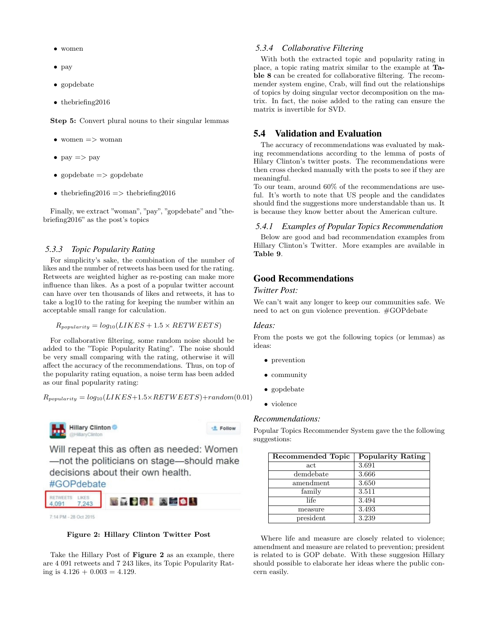- women
- pay
- gopdebate
- thebriefing2016

Step 5: Convert plural nouns to their singular lemmas

- women  $\Rightarrow$  woman
- $pay \Rightarrow pay$
- gopdebate  $\Rightarrow$  gopdebate
- the briefing  $2016 \implies$  the briefing  $2016$

Finally, we extract "woman", "pay", "gopdebate" and "thebriefing2016" as the post's topics

#### *5.3.3 Topic Popularity Rating*

For simplicity's sake, the combination of the number of likes and the number of retweets has been used for the rating. Retweets are weighted higher as re-posting can make more influence than likes. As a post of a popular twitter account can have over ten thousands of likes and retweets, it has to take a log10 to the rating for keeping the number within an acceptable small range for calculation.

 $R_{popularity} = log_{10}(LIKES + 1.5 \times RETWEETS)$ 

For collaborative filtering, some random noise should be added to the "Topic Popularity Rating". The noise should be very small comparing with the rating, otherwise it will affect the accuracy of the recommendations. Thus, on top of the popularity rating equation, a noise term has been added as our final popularity rating:

 $R_{\text{p}opularity} = \log_{10}(LIKES+1.5\times RETWEETS)+random(0.01)$ 



Will repeat this as often as needed: Women

-<sup>8</sup> Follow

-not the politicians on stage-should make decisions about their own health.



7:14 PM - 28 Oct 2015



Take the Hillary Post of Figure 2 as an example, there are 4 091 retweets and 7 243 likes, its Topic Popularity Rating is  $4.126 + 0.003 = 4.129$ .

#### *5.3.4 Collaborative Filtering*

With both the extracted topic and popularity rating in place, a topic rating matrix similar to the example at Table 8 can be created for collaborative filtering. The recommender system engine, Crab, will find out the relationships of topics by doing singular vector decomposition on the matrix. In fact, the noise added to the rating can ensure the matrix is invertible for SVD.

### 5.4 Validation and Evaluation

The accuracy of recommendations was evaluated by making recommendations according to the lemma of posts of Hilary Clinton's twitter posts. The recommendations were then cross checked manually with the posts to see if they are meaningful.

To our team, around 60% of the recommendations are useful. It's worth to note that US people and the candidates should find the suggestions more understandable than us. It is because they know better about the American culture.

#### *5.4.1 Examples of Popular Topics Recommendation*

Below are good and bad recommendation examples from Hillary Clinton's Twitter. More examples are available in Table 9.

# Good Recommendations

### *Twitter Post:*

We can't wait any longer to keep our communities safe. We need to act on gun violence prevention. #GOPdebate

#### *Ideas:*

From the posts we got the following topics (or lemmas) as ideas:

- prevention
- community
- gopdebate
- violence

#### *Recommendations:*

Popular Topics Recommender System gave the the following suggestions:

| Recommended Topic | <b>Popularity Rating</b> |
|-------------------|--------------------------|
| act               | 3.691                    |
| demdebate         | 3.666                    |
| amendment         | 3.650                    |
| family            | 3.511                    |
| life              | 3.494                    |
| measure           | 3.493                    |
| president         | 3.239                    |

Where life and measure are closely related to violence; amendment and measure are related to prevention; president is related to is GOP debate. With these suggesion Hillary should possible to elaborate her ideas where the public concern easily.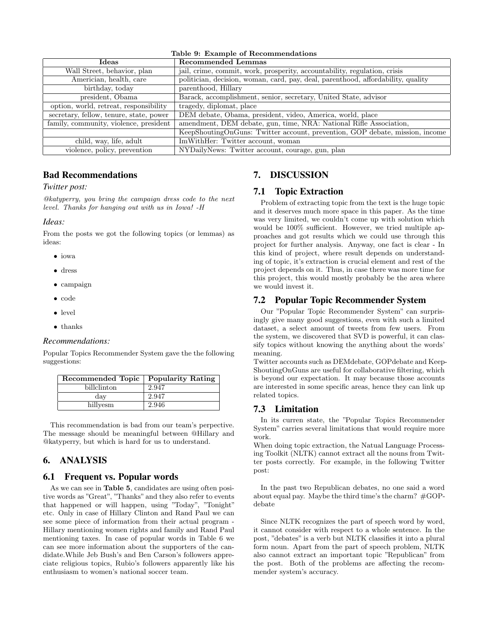|       | Table 9: Example of Recommendations |  |  |  |
|-------|-------------------------------------|--|--|--|
| Ideas | Recommended Lemmas                  |  |  |  |
|       |                                     |  |  |  |

| rueas                                   | песониценден венния                                                              |
|-----------------------------------------|----------------------------------------------------------------------------------|
| Wall Street, behavior, plan             | jail, crime, commit, work, prosperity, accountability, regulation, crisis        |
| Americian, health, care                 | politician, decision, woman, card, pay, deal, parenthood, affordability, quality |
| birthday, today                         | parenthood, Hillary                                                              |
| president, Obama                        | Barack, accomplishment, senior, secretary, United State, advisor                 |
| option, world, retreat, responsibility  | tragedy, diplomat, place                                                         |
| secretary, fellow, tenure, state, power | DEM debate, Obama, president, video, America, world, place                       |
| family, community, violence, president  | amendment, DEM debate, gun, time, NRA: National Rifle Association,               |
|                                         | KeepShoutingOnGuns: Twitter account, prevention, GOP debate, mission, income     |
| child, way, life, adult                 | ImWithHer: Twitter account, woman                                                |
| violence, policy, prevention            | NYDailyNews: Twitter account, courage, gun, plan                                 |

# Bad Recommendations

### *Twitter post:*

@katyperry, you bring the campaign dress code to the next level. Thanks for hanging out with us in Iowa! -H

### *Ideas:*

From the posts we got the following topics (or lemmas) as ideas:

- iowa
- dress
- campaign
- code
- level
- thanks

### *Recommendations:*

Popular Topics Recommender System gave the the following suggestions:

| Recommended Topic | <b>Popularity Rating</b> |
|-------------------|--------------------------|
| billclinton       | 2.947                    |
| day               | 2.947                    |
| hillyesm          | 2.946                    |

This recommendation is bad from our team's perpective. The message should be meaningful between @Hillary and @katyperry, but which is hard for us to understand.

# 6. ANALYSIS

# 6.1 Frequent vs. Popular words

As we can see in Table 5, candidates are using often positive words as "Great", "Thanks" and they also refer to events that happened or will happen, using "Today", "Tonight" etc. Only in case of Hillary Clinton and Rand Paul we can see some piece of information from their actual program - Hillary mentioning women rights and family and Rand Paul mentioning taxes. In case of popular words in Table 6 we can see more information about the supporters of the candidate.While Jeb Bush's and Ben Carson's followers appreciate religious topics, Rubio's followers apparently like his enthusiasm to women's national soccer team.

# 7. DISCUSSION

# 7.1 Topic Extraction

Problem of extracting topic from the text is the huge topic and it deserves much more space in this paper. As the time was very limited, we couldn't come up with solution which would be 100% sufficient. However, we tried multiple approaches and got results which we could use through this project for further analysis. Anyway, one fact is clear - In this kind of project, where result depends on understanding of topic, it's extraction is crucial element and rest of the project depends on it. Thus, in case there was more time for this project, this would mostly probably be the area where we would invest it.

# 7.2 Popular Topic Recommender System

Our "Popular Topic Recommender System" can surprisingly give many good suggestions, even with such a limited dataset, a select amount of tweets from few users. From the system, we discovered that SVD is powerful, it can classify topics without knowing the anything about the words' meaning.

Twitter accounts such as DEMdebate, GOPdebate and Keep-ShoutingOnGuns are useful for collaborative filtering, which is beyond our expectation. It may because those accounts are interested in some specific areas, hence they can link up related topics.

# 7.3 Limitation

In its curren state, the "Popular Topics Recommender System" carries several limitations that would require more work.

When doing topic extraction, the Natual Language Processing Toolkit (NLTK) cannot extract all the nouns from Twitter posts correctly. For example, in the following Twitter post:

In the past two Republican debates, no one said a word about equal pay. Maybe the third time's the charm?  $\#GOP$ debate

Since NLTK recognizes the part of speech word by word, it cannot consider with respect to a whole sentence. In the post, "debates" is a verb but NLTK classifies it into a plural form noun. Apart from the part of speech problem, NLTK also cannot extract an important topic "Republican" from the post. Both of the problems are affecting the recommender system's accuracy.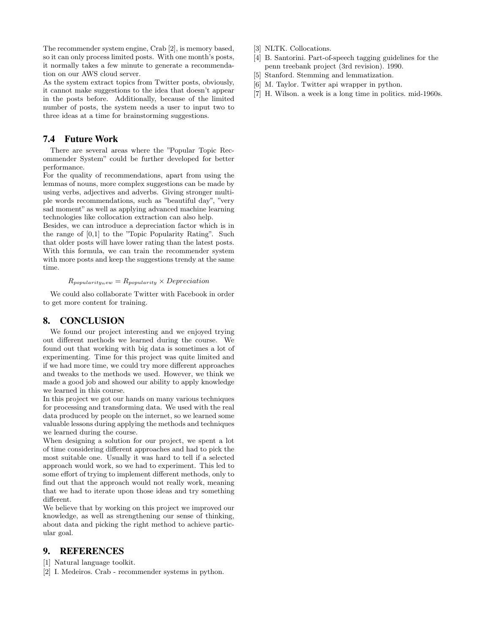The recommender system engine, Crab [2], is memory based, so it can only process limited posts. With one month's posts, it normally takes a few minute to generate a recommendation on our AWS cloud server.

As the system extract topics from Twitter posts, obviously, it cannot make suggestions to the idea that doesn't appear in the posts before. Additionally, because of the limited number of posts, the system needs a user to input two to three ideas at a time for brainstorming suggestions.

# 7.4 Future Work

There are several areas where the "Popular Topic Recommender System" could be further developed for better performance.

For the quality of recommendations, apart from using the lemmas of nouns, more complex suggestions can be made by using verbs, adjectives and adverbs. Giving stronger multiple words recommendations, such as "beautiful day", "very sad moment" as well as applying advanced machine learning technologies like collocation extraction can also help.

Besides, we can introduce a depreciation factor which is in the range of [0,1] to the "Topic Popularity Rating". Such that older posts will have lower rating than the latest posts. With this formula, we can train the recommender system with more posts and keep the suggestions trendy at the same time.

#### $R_{popularity new} = R_{popularity} \times Depreciation$

We could also collaborate Twitter with Facebook in order to get more content for training.

# 8. CONCLUSION

We found our project interesting and we enjoyed trying out different methods we learned during the course. We found out that working with big data is sometimes a lot of experimenting. Time for this project was quite limited and if we had more time, we could try more different approaches and tweaks to the methods we used. However, we think we made a good job and showed our ability to apply knowledge we learned in this course.

In this project we got our hands on many various techniques for processing and transforming data. We used with the real data produced by people on the internet, so we learned some valuable lessons during applying the methods and techniques we learned during the course.

When designing a solution for our project, we spent a lot of time considering different approaches and had to pick the most suitable one. Usually it was hard to tell if a selected approach would work, so we had to experiment. This led to some effort of trying to implement different methods, only to find out that the approach would not really work, meaning that we had to iterate upon those ideas and try something different.

We believe that by working on this project we improved our knowledge, as well as strengthening our sense of thinking, about data and picking the right method to achieve particular goal.

# 9. REFERENCES

[1] Natural language toolkit.

[2] I. Medeiros. Crab - recommender systems in python.

- [3] NLTK. Collocations.
- [4] B. Santorini. Part-of-speech tagging guidelines for the penn treebank project (3rd revision). 1990.
- [5] Stanford. Stemming and lemmatization.
- [6] M. Taylor. Twitter api wrapper in python.
- [7] H. Wilson. a week is a long time in politics. mid-1960s.